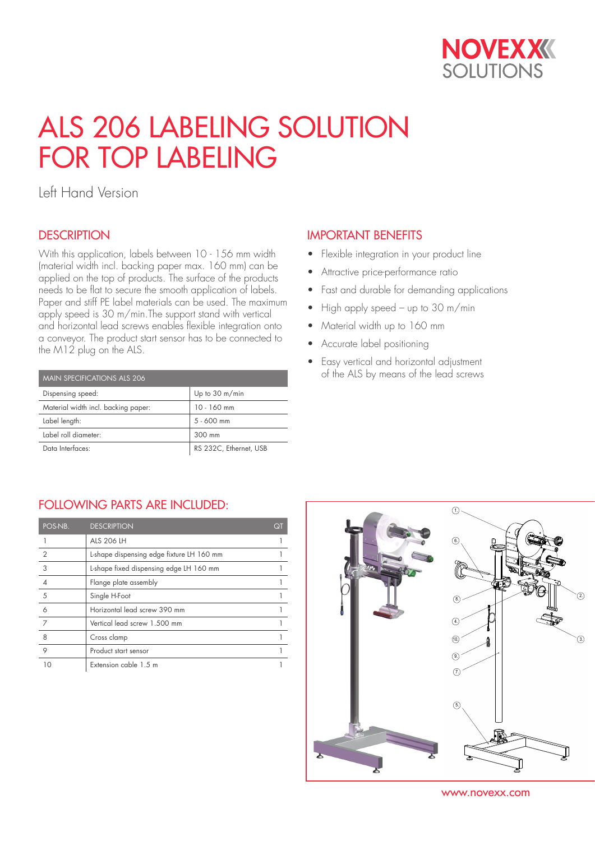

# ALS 206 LABELING SOLUTION FOR TOP LABELING

Left Hand Version

#### **DESCRIPTION**

With this application, labels between 10 - 156 mm width (material width incl. backing paper max. 160 mm) can be applied on the top of products. The surface of the products needs to be flat to secure the smooth application of labels. Paper and stiff PE label materials can be used. The maximum apply speed is 30 m/min.The support stand with vertical and horizontal lead screws enables flexible integration onto a conveyor. The product start sensor has to be connected to the M12 plug on the ALS.

| <b>MAIN SPECIFICATIONS ALS 206</b>  |                        |  |  |  |  |
|-------------------------------------|------------------------|--|--|--|--|
| Dispensing speed:                   | Up to 30 m/min         |  |  |  |  |
| Material width incl. backing paper: | 10 - 160 mm            |  |  |  |  |
| Label length:                       | $5 - 600$ mm           |  |  |  |  |
| Label roll diameter:                | 300 mm                 |  |  |  |  |
| Data Interfaces:                    | RS 232C, Ethernet, USB |  |  |  |  |

## IMPORTANT BENEFITS

- Flexible integration in your product line
- Attractive price-performance ratio
- Fast and durable for demanding applications
- High apply speed up to 30 m/min
- Material width up to 160 mm
- Accurate label positioning
- Easy vertical and horizontal adjustment of the ALS by means of the lead screws

#### FOLLOWING PARTS ARE INCLUDED:

| POS-NB.        | <b>DESCRIPTION</b>                        | QΊ |
|----------------|-------------------------------------------|----|
|                | ALS 206 LH                                |    |
| $\overline{2}$ | L-shape dispensing edge fixture LH 160 mm |    |
| 3              | L-shape fixed dispensing edge LH 160 mm   |    |
|                | Flange plate assembly                     |    |
| 5              | Single H-Foot                             |    |
| 6              | Horizontal lead screw 390 mm              |    |
| 7              | Vertical lead screw 1.500 mm              |    |
| 8              | Cross clamp                               |    |
| 9              | Product start sensor                      |    |
|                | Extension cable 1.5 m                     |    |



www.novexx.com